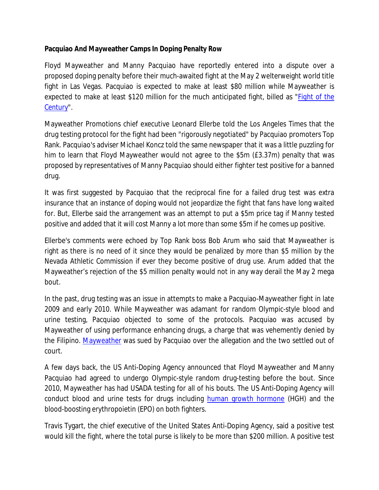**Pacquiao And Mayweather Camps In Doping Penalty Row**

Floyd Mayweather and Manny Pacquiao have reportedly entered into a dispute over a proposed doping penalty before their much-awaited fight at the May 2 welterweight world title fight in Las Vegas. Pacquiao is expected to make at least \$80 million while Mayweather is expected to make at least \$120 million for the much anticipated fight, billed as "*Fight of the Century*".

Mayweather Promotions chief executive Leonard Ellerbe told the Los Angeles Times that the drug testing protocol for the fight had been "*rigorously negotiated*" by Pacquiao promoters Top Rank. Pacquiao's adviser Michael Koncz told the same newspaper that it was a little puzzling for him to learn that Floyd Mayweather would not agree to the \$5m (£3.37m) penalty that was proposed by representatives of Manny Pacquiao should either fighter test positive for a banned drug.

It was first suggested by Pacquiao that the reciprocal fine for a failed drug test was extra insurance that an instance of doping would not jeopardize the fight that fans have long waited for. But, Ellerbe said the arrangement was an attempt to put a \$5m price tag if Manny tested positive and added that it will cost Manny a lot more than some \$5m if he comes up positive.

Ellerbe's comments were echoed by Top Rank boss Bob Arum who said that Mayweather is right as there is no need of it since they would be penalized by more than \$5 million by the Nevada Athletic Commission if ever they become positive of drug use. Arum added that the Mayweather's rejection of the \$5 million penalty would not in any way derail the May 2 mega bout.

In the past, drug testing was an issue in attempts to make a Pacquiao-Mayweather fight in late 2009 and early 2010. While Mayweather was adamant for random Olympic-style blood and urine testing, Pacquiao objected to some of the protocols. Pacquiao was accused by Mayweather of using performance enhancing drugs, a charge that was vehemently denied by the Filipino. Mayweather was sued by Pacquiao over the allegation and the two settled out of court.

A few days back, the US Anti-Doping Agency announced that Floyd Mayweather and Manny Pacquiao had agreed to undergo Olympic-style random drug-testing before the bout. Since 2010, Mayweather has had USADA testing for all of his bouts. The US Anti-Doping Agency will conduct blood and urine tests for drugs including human growth hormone (HGH) and the blood-boosting erythropoietin (EPO) on both fighters.

Travis Tygart, the chief executive of the United States Anti-Doping Agency, said a positive test would kill the fight, where the total purse is likely to be more than \$200 million. A positive test